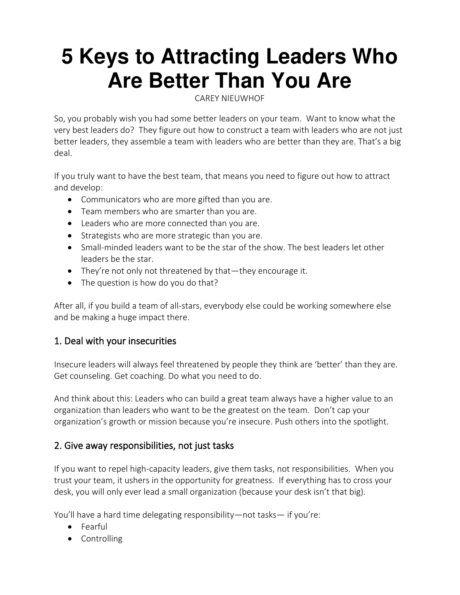# **5 Keys to Attracting Leaders Who Are Better Than You Are**

[CAREY NIEUWHOF](https://careynieuwhof.com/author/carey/) 

So, you probably wish you had some better leaders on your team. Want to know what the very best leaders do? They figure out how to construct a team with leaders who are not just better leaders, they assemble a team with leaders who are better than they are. That's a big deal.

If you truly want to have the best team, that means you need to figure out how to attract and develop:

- Communicators who are more gifted than you are.
- Team members who are smarter than you are.
- Leaders who are more connected than you are.
- Strategists who are more strategic than you are.
- Small-minded leaders want to be the star of the show. The best leaders let other leaders be the star.
- They're not only not threatened by that—they encourage it.
- The question is how do you do that?

After all, if you build a team of all-stars, everybody else could be working somewhere else and be making a huge impact there.

#### 1. Deal with your insecurities

Insecure leaders will always feel threatened by people they think are 'better' than they are. Get counseling. Get coaching. Do what you need to do.

And think about this: Leaders who can build a great team always have a higher value to an organization than leaders who want to be the greatest on the team. Don't cap your organization's growth or mission because you're insecure. Push others into the spotlight.

#### 2. Give away responsibilities, not just tasks

If you want to repel high-capacity leaders, give them tasks, not responsibilities. When you trust your team, it ushers in the opportunity for greatness. If everything has to cross your desk, you will only ever lead a small organization (because your desk isn't that big).

You'll have a hard time delegating responsibility—not tasks— if you're:

- Fearful
- Controlling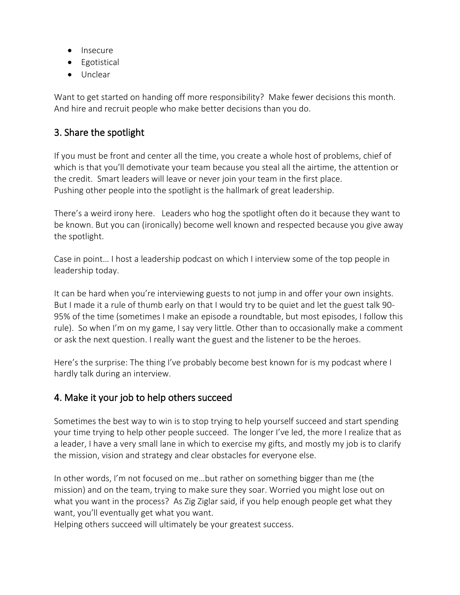- Insecure
- Egotistical
- Unclear

Want to get started on handing off more responsibility? Make fewer decisions this month. And hire and recruit people who make better decisions than you do.

## 3. Share the spotlight

If you must be front and center all the time, you create a whole host of problems, chief of which is that you'll demotivate your team because you steal all the airtime, the attention or the credit. Smart leaders will leave or never join your team in the first place. Pushing other people into the spotlight is the hallmark of great leadership.

There's a weird irony here. Leaders who hog the spotlight often do it because they want to be known. But you can (ironically) become well known and respected because you give away the spotlight.

Case in point… I host a [leadership podcast](https://podcasts.apple.com/us/podcast/carey-nieuwhof-leadership-podcast-lead-like-never-before/id912753163) on which I interview some of the top people in leadership today.

It can be hard when you're interviewing guests to not jump in and offer your own insights. But I made it a rule of thumb early on that I would try to be quiet and let the guest talk 90- 95% of the time (sometimes I make an episode a roundtable, but most episodes, I follow this rule). So when I'm on my game, I say very little. Other than to occasionally make a comment or ask the next question. I really want the guest and the listener to be the heroes.

Here's the surprise: The thing I've probably become best known for is my podcast where I hardly talk during an interview.

## 4. Make it your job to help others succeed

Sometimes the best way to win is to stop trying to help yourself succeed and start spending your time trying to help other people succeed. The longer I've led, the more I realize that as a leader, I have a very small lane in which to exercise my gifts, and mostly my job is to clarify the mission, vision and strategy and clear obstacles for everyone else.

In other words, I'm not focused on me…but rather on something bigger than me (the mission) and on the team, trying to make sure they soar. Worried you might lose out on what you want in the process? As Zig Ziglar said, if you help enough people get what they want, you'll eventually get what you want.

Helping others succeed will ultimately be your greatest success.